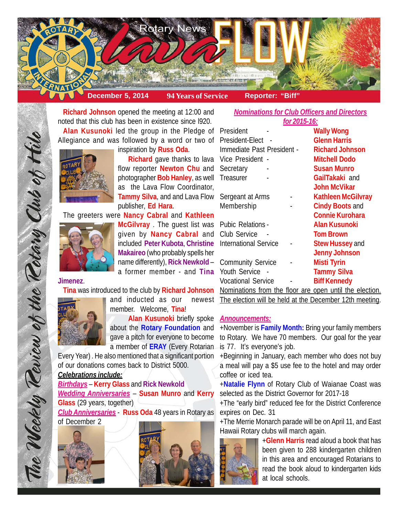

**Richard Johnson** opened the meeting at 12:00 and noted that this club has been in existence since l920.

**Alan Kusunoki** led the group in the Pledge of Allegiance and was followed by a word or two of

inspiration by **Russ Oda**.

**Richard** gave thanks to lava flow reporter **Newton Chu** and photographer **Bob Hanley**, as well as the Lava Flow Coordinator, **Tammy Silva**, and and Lava Flow publisher, **Ed Hara**.

The greeters were **Nancy Cabral** and **Kathleen**



**McGilvray** . The guest list was given by **Nancy Cabral** and included **Peter Kubota**, **Christine Makaireo** (who probably spells her name differently), **Rick Newkold** – a former member - and **Tina**

**Jimenez**.

The Weekly Teview of the Tetary Club of Hilo

**Tina** was introduced to the club by **Richard Johnson**

and inducted as our newest member. Welcome, **Tina**!

**Alan Kusunoki** briefly spoke about the **Rotary Foundation** and gave a pitch for everyone to become a member of **ERAY** (Every Rotarian

Every Year) . He also mentioned that a significant portion of our donations comes back to District 5000. *Celebrations include:*

*Birthdays* – **Kerry Glass** and **Rick Newkold** *Wedding Anniversaries* – **Susan Munro** and **Kerry Glass** (29 years, together)

*Club Anniversaries* - **Russ Oda** 48 years in Rotary as of December 2





*Nominations for Club Officers and Directors for 2015-16:*

| President                    | <b>Wally Wong</b>         |
|------------------------------|---------------------------|
| President-Elect              | <b>Glenn Harris</b>       |
| Immediate Past President -   | <b>Richard Johnson</b>    |
| Vice President -             | <b>Mitchell Dodo</b>      |
| Secretary                    | <b>Susan Munro</b>        |
| Treasurer                    | GailTakaki and            |
|                              | John McVikar              |
| Sergeant at Arms             | <b>Kathleen McGilvray</b> |
| Membership                   | <b>Cindy Boots and</b>    |
|                              | <b>Connie Kurohara</b>    |
| <b>Pubic Relations -</b>     | Alan Kusunoki             |
| Club Service                 | <b>Tom Brown</b>          |
| <b>International Service</b> | <b>Stew Hussey and</b>    |
|                              | <b>Jenny Johnson</b>      |
| <b>Community Service</b>     | <b>Misti Tyrin</b>        |
| <b>Youth Service</b>         | <b>Tammy Silva</b>        |
| <b>Vocational Service</b>    | <b>Biff Kennedy</b>       |
|                              |                           |

Nominations from the floor are open until the election. The election will be held at the December 12th meeting.

#### *Announcements:*

+November is **Family Month:** Bring your family members to Rotary. We have 70 members. Our goal for the year is 77. It's everyone's job.

+Beginning in January, each member who does not buy a meal will pay a \$5 use fee to the hotel and may order coffee or iced tea.

+**Natalie Flynn** of Rotary Club of Waianae Coast was selected as the District Governor for 2017-18

+The "early bird" reduced fee for the District Conference expires on Dec. 31

+The Merrie Monarch parade will be on April 11, and East Hawaii Rotary clubs will march again.



+**Glenn Harris** read aloud a book that has been given to 288 kindergarten children in this area and encouraged Rotarians to read the book aloud to kindergarten kids at local schools.